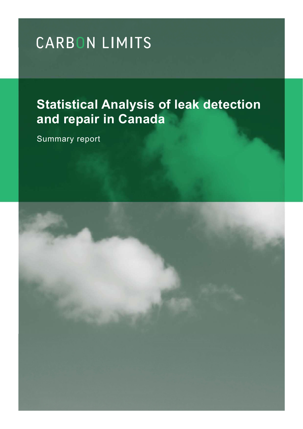# **Statistical Analysis of leak detection and repair in Canada**

Summary report

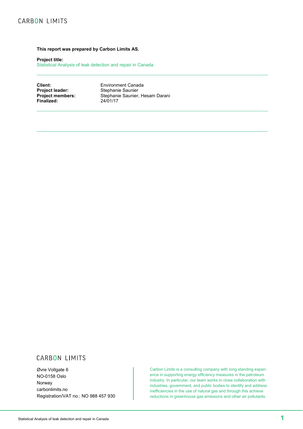#### **This report was prepared by Carbon Limits AS.**

**Project title:**

Statistical Analysis of leak detection and repair in Canada

**Client:** Environment Canada<br> **Project leader:** Stephanie Saunier **Project leader:** Stephanie Saunier<br> **Project members:** Stephanie Saunier, Stephanie Saunier, Hesam Darani<br>24/01/17 **Finalized:** 

# **CARBON LIMITS**

Øvre Vollgate 6 NO-0158 Oslo Norway carbonlimits.no Registration/VAT no.: NO 988 457 930

Carbon Limits is a consulting company with long standing experience in supporting energy efficiency measures in the petroleum industry. In particular, our team works in close collaboration with industries, government, and public bodies to identify and address inefficiencies in the use of natural gas and through this achieve reductions in greenhouse gas emissions and other air pollutants.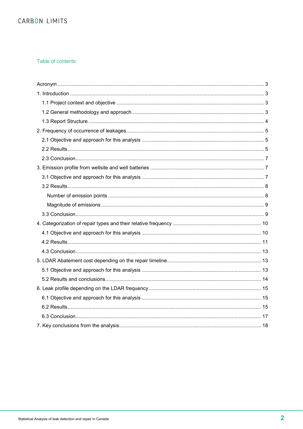### Table of contents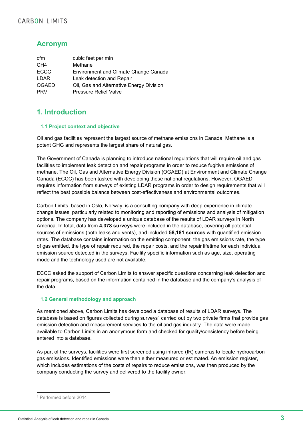# **Acronym**

| cfm             | cubic feet per min                       |
|-----------------|------------------------------------------|
| CH <sub>4</sub> | Methane                                  |
| <b>ECCC</b>     | Environment and Climate Change Canada    |
| LDAR            | Leak detection and Repair                |
| <b>OGAED</b>    | Oil, Gas and Alternative Energy Division |
| <b>PRV</b>      | <b>Pressure Relief Valve</b>             |

# **1. Introduction**

## **1.1 Project context and objective**

Oil and gas facilities represent the largest source of methane emissions in Canada. Methane is a potent GHG and represents the largest share of natural gas.

The Government of Canada is planning to introduce national regulations that will require oil and gas facilities to implement leak detection and repair programs in order to reduce fugitive emissions of methane. The Oil, Gas and Alternative Energy Division (OGAED) at Environment and Climate Change Canada (ECCC) has been tasked with developing these national regulations. However, OGAED requires information from surveys of existing LDAR programs in order to design requirements that will reflect the best possible balance between cost-effectiveness and environmental outcomes.

Carbon Limits, based in Oslo, Norway, is a consulting company with deep experience in climate change issues, particularly related to monitoring and reporting of emissions and analysis of mitigation options. The company has developed a unique database of the results of LDAR surveys in North America. In total, data from **4,378 surveys** were included in the database, covering all potential sources of emissions (both leaks and vents), and included **58,181 sources** with quantified emission rates. The database contains information on the emitting component, the gas emissions rate, the type of gas emitted, the type of repair required, the repair costs, and the repair lifetime for each individual emission source detected in the surveys. Facility specific information such as age, size, operating mode and the technology used are not available.

ECCC asked the support of Carbon Limits to answer specific questions concerning leak detection and repair programs, based on the information contained in the database and the company's analysis of the data.

## **1.2 General methodology and approach**

As mentioned above, Carbon Limits has developed a database of results of LDAR surveys. The database is based on figures collected during surveys<sup>1</sup> carried out by two private firms that provide gas emission detection and measurement services to the oil and gas industry. The data were made available to Carbon Limits in an anonymous form and checked for quality/consistency before being entered into a database.

As part of the surveys, facilities were first screened using infrared (IR) cameras to locate hydrocarbon gas emissions. Identified emissions were then either measured or estimated. An emission register, which includes estimations of the costs of repairs to reduce emissions, was then produced by the company conducting the survey and delivered to the facility owner.

 <sup>1</sup> Performed before 2014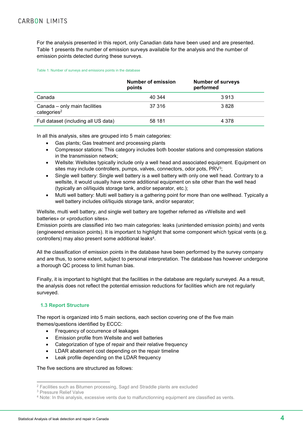For the analysis presented in this report, only Canadian data have been used and are presented. Table 1 presents the number of emission surveys available for the analysis and the number of emission points detected during these surveys.

#### Table 1: Number of surveys and emissions points in the database

|                                                          | Number of emission<br>points | <b>Number of surveys</b><br>performed |
|----------------------------------------------------------|------------------------------|---------------------------------------|
| Canada                                                   | 40 344                       | 3913                                  |
| Canada – only main facilities<br>categories <sup>2</sup> | 37 316                       | 3828                                  |
| Full dataset (including all US data)                     | 58 181                       | 4 3 7 8                               |

In all this analysis, sites are grouped into 5 main categories:

- Gas plants; Gas treatment and processing plants
- Compressor stations: This category includes both booster stations and compression stations in the transmission network;
- Wellsite: Wellsites typically include only a well head and associated equipment. Equipment on sites may include controllers, pumps, valves, connectors, odor pots, PRV<sup>3</sup>;
- Single well battery: Single well battery is a well battery with only one well head. Contrary to a wellsite, it would usually have some additional equipment on site other than the well head (typically an oil/liquids storage tank, and/or separator, etc.);
- Multi well battery: Multi well battery is a gathering point for more than one wellhead. Typically a well battery includes oil/liquids storage tank, and/or separator;

Wellsite, multi well battery, and single well battery are together referred as «Wellsite and well batteries» or «production sites».

Emission points are classified into two main categories: leaks (unintended emission points) and vents (engineered emission points). It is important to highlight that some component which typical vents (e.g. controllers) may also present some additional leaks4.

All the classification of emission points in the database have been performed by the survey company and are thus, to some extent, subject to personal interpretation. The database has however undergone a thorough QC process to limit human bias.

Finally, it is important to highlight that the facilities in the database are regularly surveyed. As a result, the analysis does not reflect the potential emission reductions for facilities which are not regularly surveyed.

## **1.3 Report Structure**

The report is organized into 5 main sections, each section covering one of the five main themes/questions identified by ECCC:

- Frequency of occurrence of leakages
- Emission profile from Wellsite and well batteries
- Categorization of type of repair and their relative frequency
- LDAR abatement cost depending on the repair timeline
- Leak profile depending on the LDAR frequency

The five sections are structured as follows:

 <sup>2</sup> Facilities such as Bitumen processing, Sagd and Straddle plants are excluded

<sup>3</sup> Pressure Relief Valve

<sup>4</sup> Note: In this analysis, excessive vents due to malfunctionning equipment are classified as vents.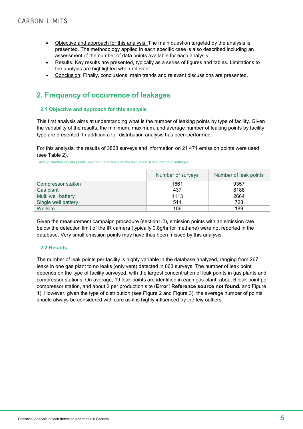- Objective and approach for this analysis: The main question targeted by the analysis is presented. The methodology applied in each specific case is also described including an assessment of the number of data points available for each analysis.
- Results: Key results are presented, typically as a series of figures and tables. Limitations to the analysis are highlighted when relevant.
- Conclusion: Finally, conclusions, main trends and relevant discussions are presented.

# **2. Frequency of occurrence of leakages**

## **2.1 Objective and approach for this analysis**

This first analysis aims at understanding what is the number of leaking points by type of facility. Given the variability of the results, the minimum, maximum, and average number of leaking points by facility type are presented. In addition a full distribution analysis has been performed.

For this analysis, the results of 3828 surveys and information on 21 471 emission points were used (see Table 2).

Table 2: Number of data points used for the analysis on the frequency of occurrence of leakages

|                     | Number of surveys | Number of leak points |
|---------------------|-------------------|-----------------------|
| Compressor station  | 1661              | 9357                  |
| Gas plant           | 437               | 8188                  |
| Multi well battery  | 1113              | 2664                  |
| Single well battery | 511               | 728                   |
| Wellsite            | 106               | 189                   |

Given the measurement campaign procedure (section1.2), emission points with an emission rate below the detection limit of the IR camera (typically 0.8g/hr for methane) were not reported in the database. Very small emission points may have thus been missed by this analysis.

### **2.2 Results**

The number of leak points per facility is highly variable in the database analyzed, ranging from 267 leaks in one gas plant to no leaks (only vent) detected in 863 surveys. The number of leak point depends on the type of facility surveyed, with the largest concentration of leak points in gas plants and compressor stations. On average, 19 leak points are identified in each gas plant, about 6 leak point per compressor station, and about 2 per production site (**Error! Reference source not found.** and Figure 1). However, given the type of distribution (see Figure 2 and Figure 3), the average number of points should always be considered with care as it is highly influenced by the few outliers.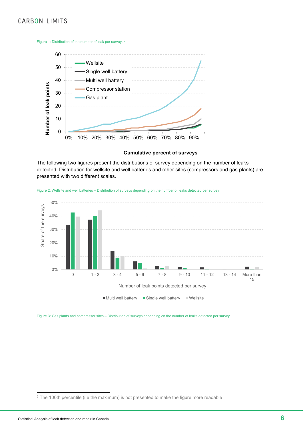Figure 1: Distribution of the number of leak per survey. 5



**Cumulative percent of surveys**

The following two figures present the distributions of survey depending on the number of leaks detected. Distribution for wellsite and well batteries and other sites (compressors and gas plants) are presented with two different scales.





Figure 3: Gas plants and compressor sites – Distribution of surveys depending on the number of leaks detected per survey

<sup>&</sup>lt;sup>5</sup> The 100th percentile (i.e the maximum) is not presented to make the figure more readable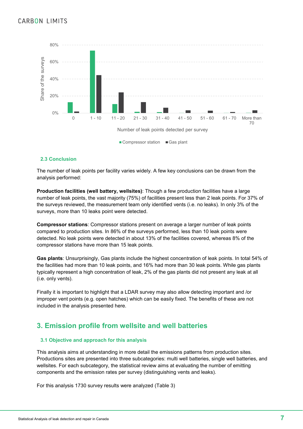

### **2.3 Conclusion**

The number of leak points per facility varies widely. A few key conclusions can be drawn from the analysis performed:

**Production facilities (well battery, wellsites)**: Though a few production facilities have a large number of leak points, the vast majority (75%) of facilities present less than 2 leak points. For 37% of the surveys reviewed, the measurement team only identified vents (i.e. no leaks). In only 3% of the surveys, more than 10 leaks point were detected.

**Compressor stations**: Compressor stations present on average a larger number of leak points compared to production sites. In 86% of the surveys performed, less than 10 leak points were detected. No leak points were detected in about 13% of the facilities covered, whereas 8% of the compressor stations have more than 15 leak points.

**Gas plants**: Unsurprisingly, Gas plants include the highest concentration of leak points. In total 54% of the facilities had more than 10 leak points, and 16% had more than 30 leak points. While gas plants typically represent a high concentration of leak, 2% of the gas plants did not present any leak at all (i.e. only vents).

Finally it is important to highlight that a LDAR survey may also allow detecting important and /or improper vent points (e.g. open hatches) which can be easily fixed. The benefits of these are not included in the analysis presented here.

# **3. Emission profile from wellsite and well batteries**

#### **3.1 Objective and approach for this analysis**

This analysis aims at understanding in more detail the emissions patterns from production sites. Productions sites are presented into three subcategories: multi well batteries, single well batteries, and wellsites. For each subcategory, the statistical review aims at evaluating the number of emitting components and the emission rates per survey (distinguishing vents and leaks).

For this analysis 1730 survey results were analyzed (Table 3)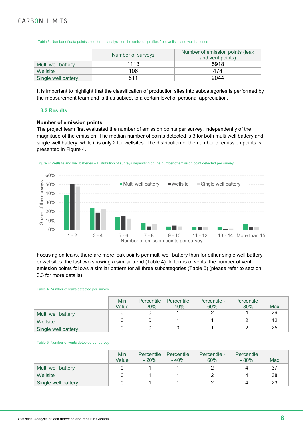Table 3: Number of data points used for the analysis on the emission profiles from wellsite and well batteries

|                     | Number of surveys | Number of emission points (leak<br>and vent points) |
|---------------------|-------------------|-----------------------------------------------------|
| Multi well battery  | 1113              | 5918                                                |
| Wellsite            | 106               | 474                                                 |
| Single well battery | 511               | 2044                                                |

It is important to highlight that the classification of production sites into subcategories is performed by the measurement team and is thus subject to a certain level of personal appreciation.

#### **3.2 Results**

#### **Number of emission points**

The project team first evaluated the number of emission points per survey, independently of the magnitude of the emission. The median number of points detected is 3 for both multi well battery and single well battery, while it is only 2 for wellsites. The distribution of the number of emission points is presented in Figure 4.





Focusing on leaks, there are more leak points per multi well battery than for either single well battery or wellsites, the last two showing a similar trend (Table 4). In terms of vents, the number of vent emission points follows a similar pattern for all three subcategories (Table 5) (please refer to section 3.3 for more details)

#### Table 4: Number of leaks detected per survey

|                     | Min<br>Value | Percentile<br>$-20%$ | Percentile<br>$-40%$ | Percentile -<br>60% | Percentile<br>$-80%$ | Max |
|---------------------|--------------|----------------------|----------------------|---------------------|----------------------|-----|
|                     |              |                      |                      |                     |                      |     |
| Multi well battery  |              |                      |                      |                     |                      | 29  |
| Wellsite            |              |                      |                      |                     |                      | 42  |
| Single well battery |              |                      |                      |                     |                      | 25  |

#### Table 5: Number of vents detected per survey

|                     | Min<br>Value | Percentile<br>$-20%$ | Percentile<br>$-40%$ | Percentile -<br>60% | Percentile<br>$-80%$ | Max |
|---------------------|--------------|----------------------|----------------------|---------------------|----------------------|-----|
| Multi well battery  |              |                      |                      |                     | 4                    | 37  |
| Wellsite            |              |                      |                      |                     |                      | 38  |
| Single well battery |              |                      |                      |                     |                      | 23  |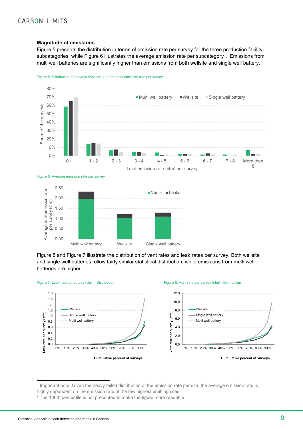#### **Magnitude of emissions**

Figure 5 presents the distribution in terms of emission rate per survey for the three production facility subcategories, while Figure 6 illustrates the average emission rate per subcategory<sup>6</sup>. Emissions from multi well batteries are significantly higher than emissions from both wellsite and single well battery.









Figure 8 and Figure 7 illustrate the distribution of vent rates and leak rates per survey. Both wellsite and single well batteries follow fairly similar statistical distribution, while emissions from multi well batteries are higher.





 <sup>6</sup> Important note: Given the heavy tailed distribution of the emission rate per site, the average emission rate is

highly dependent on the emission rate of the few highest emitting sites.

<sup>&</sup>lt;sup>7</sup> The 100th percentile is not presented to make the figure more readable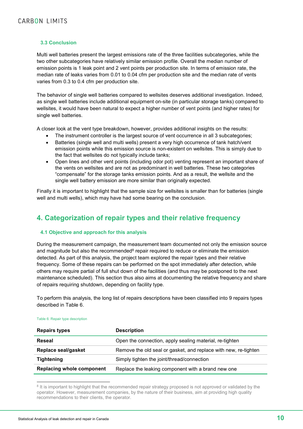### **3.3 Conclusion**

Multi well batteries present the largest emissions rate of the three facilities subcategories, while the two other subcategories have relatively similar emission profile. Overall the median number of emission points is 1 leak point and 2 vent points per production site. In terms of emission rate, the median rate of leaks varies from 0.01 to 0.04 cfm per production site and the median rate of vents varies from 0.3 to 0.4 cfm per production site.

The behavior of single well batteries compared to wellsites deserves additional investigation. Indeed, as single well batteries include additional equipment on-site (in particular storage tanks) compared to wellsites, it would have been natural to expect a higher number of vent points (and higher rates) for single well batteries.

A closer look at the vent type breakdown, however, provides additional insights on the results:

- The instrument controller is the largest source of vent occurrence in all 3 subcategories;
- Batteries (single well and multi wells) present a very high occurrence of tank hatch/vent emission points while this emission source is non-existent on wellsites. This is simply due to the fact that wellsites do not typically include tanks;
- Open lines and other vent points (including odor pot) venting represent an important share of the vents on wellsites and are not as predominant in well batteries. These two categories "compensate" for the storage tanks emission points. And as a result, the wellsite and the single well battery emission are more similar than originally expected.

Finally it is important to highlight that the sample size for wellsites is smaller than for batteries (single well and multi wells), which may have had some bearing on the conclusion.

# **4. Categorization of repair types and their relative frequency**

### **4.1 Objective and approach for this analysis**

During the measurement campaign, the measurement team documented not only the emission source and magnitude but also the recommended<sup>8</sup> repair required to reduce or eliminate the emission detected. As part of this analysis, the project team explored the repair types and their relative frequency. Some of these repairs can be performed on the spot immediately after detection, while others may require partial of full shut down of the facilities (and thus may be postponed to the next maintenance scheduled). This section thus also aims at documenting the relative frequency and share of repairs requiring shutdown, depending on facility type.

To perform this analysis, the long list of repairs descriptions have been classified into 9 repairs types described in Table 6.

| <b>Repairs types</b>             | <b>Description</b>                                              |
|----------------------------------|-----------------------------------------------------------------|
| Reseal                           | Open the connection, apply sealing material, re-tighten         |
| Replace seal/gasket              | Remove the old seal or gasket, and replace with new, re-tighten |
| <b>Tightening</b>                | Simply tighten the joint/thread/connection                      |
| <b>Replacing whole component</b> | Replace the leaking component with a brand new one              |

#### Table 6: Repair type description

<sup>8</sup> It is important to highlight that the recommended repair strategy proposed is not approved or validated by the operator. However, measurement companies, by the nature of their business, aim at providing high quality recommendations to their clients, the operator.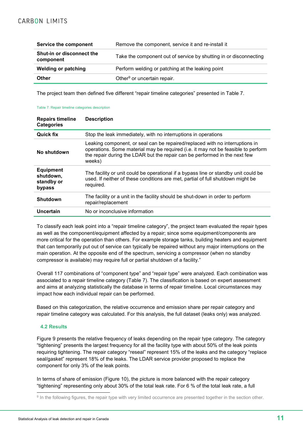| Service the component                         | Remove the component, service it and re-install it                |
|-----------------------------------------------|-------------------------------------------------------------------|
| <b>Shut-in or disconnect the</b><br>component | Take the component out of service by shutting in or disconnecting |
| <b>Welding or patching</b>                    | Perform welding or patching at the leaking point                  |
| Other                                         | Other <sup>9</sup> or uncertain repair.                           |

The project team then defined five different "repair timeline categories" presented in Table 7.

#### Table 7: Repair timeline categories description

| <b>Repairs timeline</b><br><b>Categories</b>          | <b>Description</b>                                                                                                                                                                                                                                        |
|-------------------------------------------------------|-----------------------------------------------------------------------------------------------------------------------------------------------------------------------------------------------------------------------------------------------------------|
| <b>Quick fix</b>                                      | Stop the leak immediately, with no interruptions in operations                                                                                                                                                                                            |
| No shutdown                                           | Leaking component, or seal can be repaired/replaced with no interruptions in<br>operations. Some material may be required (i.e. it may not be feasible to perform<br>the repair during the LDAR but the repair can be performed in the next few<br>weeks) |
| <b>Equipment</b><br>shutdown,<br>standby or<br>bypass | The facility or unit could be operational if a bypass line or standby unit could be<br>used. If neither of these conditions are met, partial of full shutdown might be<br>required.                                                                       |
| <b>Shutdown</b>                                       | The facility or a unit in the facility should be shut-down in order to perform<br>repair/replacement                                                                                                                                                      |
| Uncertain                                             | No or inconclusive information                                                                                                                                                                                                                            |

To classify each leak point into a "repair timeline category", the project team evaluated the repair types as well as the component/equipment affected by a repair; since some equipment/components are more critical for the operation than others. For example storage tanks, building heaters and equipment that can temporarily put out of service can typically be repaired without any major interruptions on the main operation. At the opposite end of the spectrum, servicing a compressor (when no standby compressor is available) may require full or partial shutdown of a facility."

Overall 117 combinations of "component type" and "repair type" were analyzed. Each combination was associated to a repair timeline category (Table 7). The classification is based on expert assessment and aims at analyzing statistically the database in terms of repair timeline. Local circumstances may impact how each individual repair can be performed.

Based on this categorization, the relative occurrence and emission share per repair category and repair timeline category was calculated. For this analysis, the full dataset (leaks only) was analyzed.

### **4.2 Results**

Figure 9 presents the relative frequency of leaks depending on the repair type category. The category "tightening" presents the largest frequency for all the facility type with about 50% of the leak points requiring tightening. The repair category "reseal" represent 15% of the leaks and the category "replace seal/gasket" represent 18% of the leaks. The LDAR service provider proposed to replace the component for only 3% of the leak points.

In terms of share of emission (Figure 10), the picture is more balanced with the repair category "tightening" representing only about 30% of the total leak rate. For 6 % of the total leak rate, a full

<sup>&</sup>lt;sup>9</sup> In the following figures, the repair type with very limited occurrence are presented together in the section other.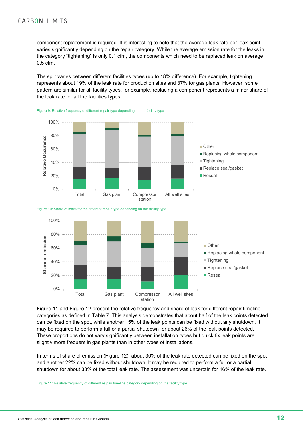component replacement is required. It is interesting to note that the average leak rate per leak point varies significantly depending on the repair category. While the average emission rate for the leaks in the category "tightening" is only 0.1 cfm, the components which need to be replaced leak on average 0.5 cfm.

The split varies between different facilities types (up to 18% difference). For example, tightening represents about 19% of the leak rate for production sites and 37% for gas plants. However, some pattern are similar for all facility types, for example, replacing a component represents a minor share of the leak rate for all the facilities types.









Figure 11 and Figure 12 present the relative frequency and share of leak for different repair timeline categories as defined in Table 7. This analysis demonstrates that about half of the leak points detected can be fixed on the spot, while another 15% of the leak points can be fixed without any shutdown. It may be required to perform a full or a partial shutdown for about 26% of the leak points detected. These proportions do not vary significantly between installation types but quick fix leak points are slightly more frequent in gas plants than in other types of installations.

In terms of share of emission (Figure 12), about 30% of the leak rate detected can be fixed on the spot and another 22% can be fixed without shutdown. It may be required to perform a full or a partial shutdown for about 33% of the total leak rate. The assessment was uncertain for 16% of the leak rate.

Figure 11: Relative frequency of different re pair timeline category depending on the facility type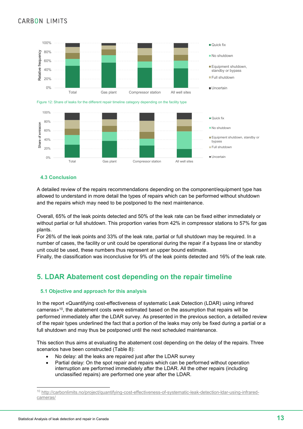



### **4.3 Conclusion**

A detailed review of the repairs recommendations depending on the component/equipment type has allowed to understand in more detail the types of repairs which can be performed without shutdown and the repairs which may need to be postponed to the next maintenance.

Overall, 65% of the leak points detected and 50% of the leak rate can be fixed either immediately or without partial or full shutdown. This proportion varies from 42% in compressor stations to 57% for gas plants.

For 26% of the leak points and 33% of the leak rate, partial or full shutdown may be required. In a number of cases, the facility or unit could be operational during the repair if a bypass line or standby unit could be used, these numbers thus represent an upper bound estimate.

Finally, the classification was inconclusive for 9% of the leak points detected and 16% of the leak rate.

# **5. LDAR Abatement cost depending on the repair timeline**

### **5.1 Objective and approach for this analysis**

In the report «Quantifying cost-effectiveness of systematic Leak Detection (LDAR) using infrared cameras»10, the abatement costs were estimated based on the assumption that repairs will be performed immediately after the LDAR survey. As presented in the previous section, a detailled review of the repair types underlined the fact that a portion of the leaks may only be fixed during a partial or a full shutdown and may thus be postponed until the next scheduled maintenance.

This section thus aims at evaluating the abatement cost depending on the delay of the repairs. Three scenarios have been constructed (Table 8):

- No delay: all the leaks are repaired just after the LDAR survey
- Partial delay: On the spot repair and repairs which can be performed without operation interruption are performed immediately after the LDAR. All the other repairs (including unclassified repairs) are performed one year after the LDAR.

 <sup>10</sup> http://carbonlimits.no/project/quantifying-cost-effectiveness-of-systematic-leak-detection-ldar-using-infraredcameras/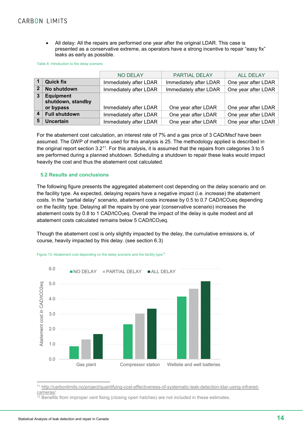All delay: All the repairs are performed one year after the original LDAR. This case is presented as a conservative extreme, as operators have a strong incentive to repair "easy fix" leaks as early as possible.

Table 8: introduction to the delay scenario

|                |                      | <b>NO DELAY</b>        | PARTIAL DELAY          | <b>ALL DELAY</b>    |
|----------------|----------------------|------------------------|------------------------|---------------------|
|                | <b>Quick fix</b>     | Immediately after LDAR | Immediately after LDAR | One year after LDAR |
| $\overline{2}$ | No shutdown          | Immediately after LDAR | Immediately after LDAR | One year after LDAR |
| $\mathbf{3}$   | <b>Equipment</b>     |                        |                        |                     |
|                | shutdown, standby    |                        |                        |                     |
|                | or bypass            | Immediately after LDAR | One year after LDAR    | One year after LDAR |
|                | <b>Full shutdown</b> | Immediately after LDAR | One year after LDAR    | One year after LDAR |
| 5              | <b>Uncertain</b>     | Immediately after LDAR | One year after LDAR    | One year after LDAR |

For the abatement cost calculation, an interest rate of 7% and a gas price of 3 CAD/Mscf have been assumed. The GWP of methane used for this analysis is 25. The methodology applied is described in the original report section 3.211. For this analysis, it is assumed that the repairs from categories 3 to 5 are performed during a planned shutdown. Scheduling a shutdown to repair these leaks would impact heavily the cost and thus the abatement cost calculated.

#### **5.2 Results and conclusions**

The following figure presents the aggregated abatement cost depending on the delay scenario and on the facility type. As expected, delaying repairs have a negative impact (i.e. increase) the abatement costs. In the "partial delay" scenario, abatement costs increase by 0.5 to 0.7 CAD/tCO<sub>2</sub>eq depending on the facility type. Delaying all the repairs by one year (conservative scenario) increases the abatement costs by 0.8 to 1 CAD/tCO<sub>2</sub>eq. Overall the impact of the delay is quite modest and all abatement costs calculated remains below  $5$  CAD/tCO<sub>2</sub>eq.

Though the abatement cost is only slightly impacted by the delay, the cumulative emissions is, of course, heavily impacted by this delay. (see section 6.3)



Figure 13: Abatement cost depending on the delay scenario and the facility type<sup>12</sup>

 11 http://carbonlimits.no/project/quantifying-cost-effectiveness-of-systematic-leak-detection-ldar-using-infraredcameras/

 $12$  Benefits from improper vent fixing (closing open hatches) are not included in these estimates.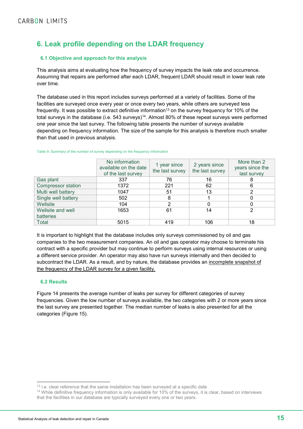# **6. Leak profile depending on the LDAR frequency**

### **6.1 Objective and approach for this analysis**

This analysis aims at evaluating how the frequency of survey impacts the leak rate and occurrence. Assuming that repairs are performed after each LDAR, frequent LDAR should result in lower leak rate over time.

The database used in this report includes surveys performed at a variety of facilities. Some of the facilities are surveyed once every year or once every two years, while others are surveyed less frequently. It was possible to extract definitive information<sup>13</sup> on the survey frequency for 10% of the total surveys in the database (i.e. 543 surveys)<sup>14</sup>. Almost 80% of these repeat surveys were performed one year since the last survey. The following table presents the number of surveys available depending on frequency information. The size of the sample for this analysis is therefore much smaller than that used in previous analysis.

|                           | No information<br>available on the date<br>of the last survey | 1 year since<br>the last survey | 2 years since<br>the last survey | More than 2<br>years since the<br>last survey |
|---------------------------|---------------------------------------------------------------|---------------------------------|----------------------------------|-----------------------------------------------|
| Gas plant                 | 337                                                           | 76                              | 16                               | 8                                             |
| <b>Compressor station</b> | 1372                                                          | 221                             | 62                               | 6                                             |
| Multi well battery        | 1047                                                          | 51                              | 13                               | 2                                             |
| Single well battery       | 502                                                           | 8                               |                                  |                                               |
| Wellsite                  | 104                                                           | 2                               | 0                                | 0                                             |
| Wellsite and well         | 1653                                                          | 61                              | 14                               | າ                                             |
| <b>batteries</b>          |                                                               |                                 |                                  |                                               |
| Total                     | 5015                                                          | 419                             | 106                              | 18                                            |

Table 9: Summary of the number of survey depending on the frequency information

It is important to highlight that the database includes only surveys commissioned by oil and gas companies to the two measurement companies. An oil and gas operator may choose to terminate his contract with a specific provider but may continue to perform surveys using internal resources or using a different service provider. An operator may also have run surveys internally and then decided to subcontract the LDAR. As a result, and by nature, the database provides an incomplete snapshot of the frequency of the LDAR survey for a given facility.

### **6.2 Results**

Figure 14 presents the average number of leaks per survey for different categories of survey frequencies. Given the low number of surveys available, the two categories with 2 or more years since the last survey are presented together. The median number of leaks is also presented for all the categories (Figure 15).

<sup>&</sup>lt;sup>13</sup> i.e. clear reference that the same installation has been surveyed at a specific date

<sup>&</sup>lt;sup>14</sup> While definitive frequency information is only available for 10% of the surveys, it is clear, based on interviews that the facilities in our database are typically surveyed every one or two years.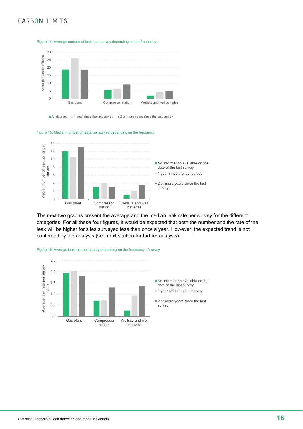

 $\blacksquare$  All dataset  $\blacksquare$  1 year since the last survey  $\blacksquare$  2 or more years since the last survey

#### Figure 15: Median number of leaks per survey depending on the frequency



The next two graphs present the average and the median leak rate per survey for the different categories. For all these four figures, it would be expected that both the number and the rate of the leak will be higher for sites surveyed less than once a year. However, the expected trend is not confirmed by the analysis (see next section for further analysis).



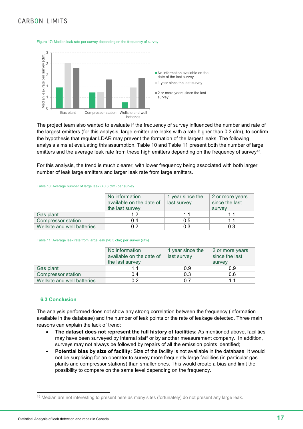

Figure 17: Median leak rate per survey depending on the frequency of survey

The project team also wanted to evaluate if the frequency of survey influenced the number and rate of the largest emitters (for this analysis, large emitter are leaks with a rate higher than 0.3 cfm), to confirm the hypothesis that regular LDAR may prevent the formation of the largest leaks. The following analysis aims at evaluating this assumption. Table 10 and Table 11 present both the number of large emitters and the average leak rate from these high emitters depending on the frequency of survey<sup>15</sup>.

For this analysis, the trend is much clearer, with lower frequency being associated with both larger number of leak large emitters and larger leak rate from large emitters.

#### Table 10: Average number of large leak (>0.3 cfm) per survey

|                             | No information<br>available on the date of<br>the last survey | 1 year since the<br>last survey | 2 or more years<br>since the last<br>survey |  |
|-----------------------------|---------------------------------------------------------------|---------------------------------|---------------------------------------------|--|
| Gas plant                   | 1.2                                                           | 1.1                             |                                             |  |
| <b>Compressor station</b>   | 0.4                                                           | 0.5                             | 11                                          |  |
| Wellsite and well batteries | 0.2                                                           | 0.3                             | 0.3                                         |  |

#### Table 11: Average leak rate from large leak (>0.3 cfm) per survey (cfm)

|                             | No information<br>available on the date of<br>the last survey | 1 year since the<br>last survey | 2 or more years<br>since the last<br>survey |  |
|-----------------------------|---------------------------------------------------------------|---------------------------------|---------------------------------------------|--|
| Gas plant                   |                                                               | 0.9                             | 0.9                                         |  |
| <b>Compressor station</b>   | 0.4                                                           | 0.3                             | 0.6                                         |  |
| Wellsite and well batteries | 0.2                                                           | በ 7                             |                                             |  |

#### **6.3 Conclusion**

The analysis performed does not show any strong correlation between the frequency (information available in the database) and the number of leak points or the rate of leakage detected. Three main reasons can explain the lack of trend:

- **The dataset does not represent the full history of facilities:** As mentioned above, facilities may have been surveyed by internal staff or by another measurement company. In addition, surveys may not always be followed by repairs of all the emission points identified;
- **Potential bias by size of facility:** Size of the facility is not available in the database. It would not be surprising for an operator to survey more frequently large facilities (in particular gas plants and compressor stations) than smaller ones. This would create a bias and limit the possibility to compare on the same level depending on the frequency.

<sup>&</sup>lt;sup>15</sup> Median are not interesting to present here as many sites (fortunately) do not present any large leak.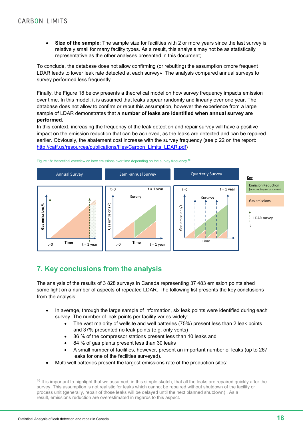**Size of the sample**: The sample size for facilities with 2 or more years since the last survey is relatively small for many facility types. As a result, this analysis may not be as statistically representative as the other analyses presented in this document;

To conclude, the database does not allow confirming (or rebutting) the assumption «more frequent LDAR leads to lower leak rate detected at each survey». The analysis compared annual surveys to survey performed less frequently.

Finally, the Figure 18 below presents a theoretical model on how survey frequency impacts emission over time. In this model, it is assumed that leaks appear randomly and linearly over one year. The database does not allow to confirm or rebut this assumption, however the experience from a large sample of LDAR demonstrates that a **number of leaks are identified when annual survey are performed.** 

In this context, increasing the frequency of the leak detection and repair survey will have a positive impact on the emission reduction that can be achieved, as the leaks are detected and can be repaired earlier. Obviously, the abatement cost increase with the survey frequency (see p 22 on the report: http://catf.us/resources/publications/files/Carbon\_Limits\_LDAR.pdf)



#### Figure 18: theoretical overview on how emissions over time depending on the survey frequency.<sup>16</sup>

# **7. Key conclusions from the analysis**

The analysis of the results of 3 828 surveys in Canada representing 37 483 emission points shed some light on a number of aspects of repeated LDAR. The following list presents the key conclusions from the analysis:

- In average, through the large sample of information, six leak points were identified during each survey. The number of leak points per facility varies widely:
	- The vast majority of wellsite and well batteries (75%) present less than 2 leak points and 37% presented no leak points (e.g. only vents)
	- 86 % of the compressor stations present less than 10 leaks and
	- 84 % of gas plants present less than 30 leaks
	- A small number of facilities, however, present an important number of leaks (up to 267 leaks for one of the facilities surveyed).
- Multi well batteries present the largest emissions rate of the production sites:

<sup>&</sup>lt;sup>16</sup> It is important to highlight that we assumed, in this simple sketch, that all the leaks are repaired quickly after the survey. This assumption is not realistic for leaks which cannot be repaired without shutdown of the facility or process unit (generally, repair of those leaks will be delayed until the next planned shutdown) . As a result, emissions reduction are overestimated in regards to this aspect.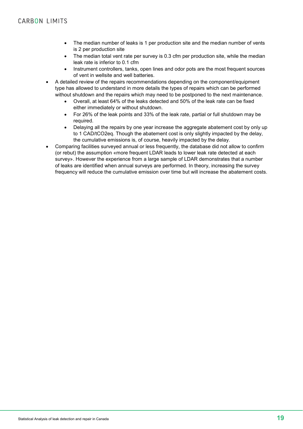- The median number of leaks is 1 per production site and the median number of vents is 2 per production site
- The median total vent rate per survey is 0.3 cfm per production site, while the median leak rate is inferior to 0.1 cfm
- Instrument controllers, tanks, open lines and odor pots are the most frequent sources of vent in wellsite and well batteries.
- A detailed review of the repairs recommendations depending on the component/equipment type has allowed to understand in more details the types of repairs which can be performed without shutdown and the repairs which may need to be postponed to the next maintenance.
	- Overall, at least 64% of the leaks detected and 50% of the leak rate can be fixed either immediately or without shutdown.
	- For 26% of the leak points and 33% of the leak rate, partial or full shutdown may be required.
	- Delaying all the repairs by one year increase the aggregate abatement cost by only up to 1 CAD/tCO2eq. Though the abatement cost is only slightly impacted by the delay, the cumulative emissions is, of course, heavily impacted by the delay.
- Comparing facilities surveyed annual or less frequently, the database did not allow to confirm (or rebut) the assumption «more frequent LDAR leads to lower leak rate detected at each survey». However the experience from a large sample of LDAR demonstrates that a number of leaks are identified when annual surveys are performed. In theory, increasing the survey frequency will reduce the cumulative emission over time but will increase the abatement costs.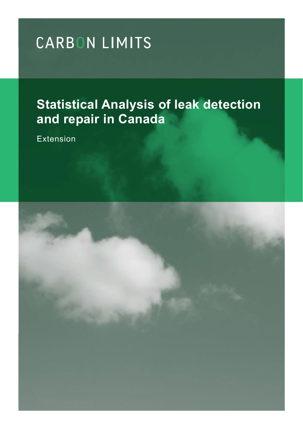# **Statistical Analysis of leak detection and repair in Canada**

Extension

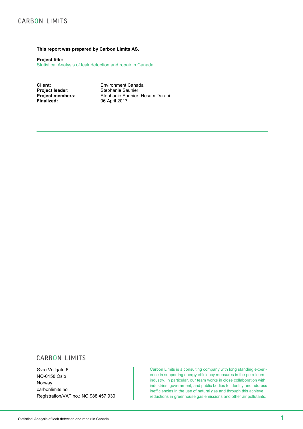#### **This report was prepared by Carbon Limits AS.**

**Project title:**

Statistical Analysis of leak detection and repair in Canada

**Client:** Environment Canada<br> **Project leader:** Stephanie Saunier **Project leader:** Stephanie Saunier<br> **Project members:** Stephanie Saunier, **Project members:** Stephanie Saunier, Hesam Darani<br>
Finalized: 06 April 2017 **Finalized:** 06 April 2017

# **CARBON LIMITS**

Øvre Vollgate 6 NO-0158 Oslo Norway carbonlimits.no Registration/VAT no.: NO 988 457 930

Carbon Limits is a consulting company with long standing experience in supporting energy efficiency measures in the petroleum industry. In particular, our team works in close collaboration with industries, government, and public bodies to identify and address inefficiencies in the use of natural gas and through this achieve reductions in greenhouse gas emissions and other air pollutants.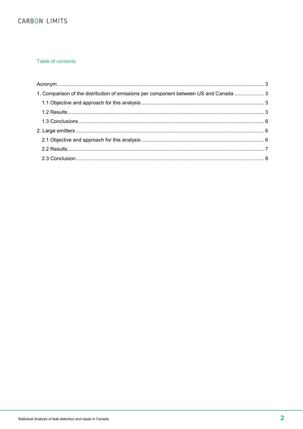## Table of contents

| 1. Comparison of the distribution of emissions per component between US and Canada  3 |  |
|---------------------------------------------------------------------------------------|--|
|                                                                                       |  |
|                                                                                       |  |
|                                                                                       |  |
|                                                                                       |  |
|                                                                                       |  |
|                                                                                       |  |
|                                                                                       |  |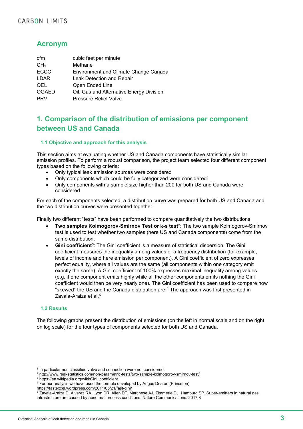# **Acronym**

| cfm             | cubic feet per minute                        |
|-----------------|----------------------------------------------|
| CH <sub>4</sub> | Methane                                      |
| <b>ECCC</b>     | <b>Environment and Climate Change Canada</b> |
| LDAR            | Leak Detection and Repair                    |
| <b>OEL</b>      | Open Ended Line                              |
| <b>OGAED</b>    | Oil, Gas and Alternative Energy Division     |
| <b>PRV</b>      | <b>Pressure Relief Valve</b>                 |

# **1. Comparison of the distribution of emissions per component between US and Canada**

### **1.1 Objective and approach for this analysis**

This section aims at evaluating whether US and Canada components have statistically similar emission profiles. To perform a robust comparison, the project team selected four different component types based on the following criteria:

- Only typical leak emission sources were considered
- Only components which could be fully categorized were considered1
- Only components with a sample size higher than 200 for both US and Canada were considered

For each of the components selected, a distribution curve was prepared for both US and Canada and the two distribution curves were presented together.

Finally two different "tests" have been performed to compare quantitatively the two distributions:

- **Two samples Kolmogorov-Smirnov Test or k-s test**2: The two sample Kolmogorov-Smirnov test is used to test whether two samples (here US and Canada components) come from the same distribution.
- **Gini coefficient3**: The Gini coefficient is a measure of statistical dispersion. The Gini coefficient measures the inequality among values of a frequency distribution (for example, levels of income and here emission per component). A Gini coefficient of zero expresses perfect equality, where all values are the same (all components within one category emit exactly the same). A Gini coefficient of 100% expresses maximal inequality among values (e.g. if one component emits highly while all the other components emits nothing the Gini coefficient would then be very nearly one). The Gini coefficient has been used to compare how "skewed" the US and the Canada distribution are.4 The approach was first presented in Zavala-Araiza et al.<sup>5</sup>

### **1.2 Results**

The following graphs present the distribution of emissions (on the left in normal scale and on the right on log scale) for the four types of components selected for both US and Canada.

<sup>&</sup>lt;sup>1</sup> In particular non classified valve and connection were not considered.

<sup>2</sup> http://www.real-statistics.com/non-parametric-tests/two-sample-kolmogorov-smirnov-test/

<sup>&</sup>lt;sup>3</sup> https://en.wikipedia.org/wiki/Gini\_coefficient

<sup>&</sup>lt;sup>4</sup> For our analysis we have used the formula developed by Angus Deaton (Princeton)

https://fastexcel.wordpress.com/2011/05/21/fast-gini/

<sup>5</sup> Zavala-Araiza D, Alvarez RA, Lyon DR, Allen DT, Marchese AJ, Zimmerle DJ, Hamburg SP. Super-emitters in natural gas infrastructure are caused by abnormal process conditions. Nature Communications. 2017;8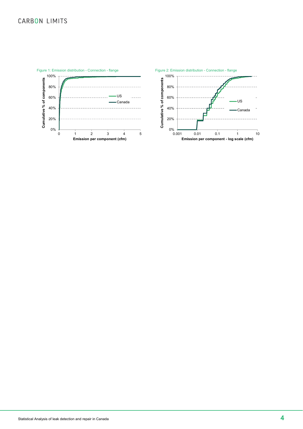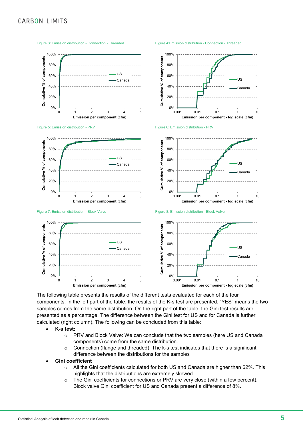

Figure 3: Emission distribution - Connection - Threaded Figure 4:Emission distribution - Connection - Threaded

The following table presents the results of the different tests evaluated for each of the four components. In the left part of the table, the results of the K-s test are presented. "YES" means the two samples comes from the same distribution. On the right part of the table, the Gini test results are presented as a percentage. The difference between the Gini test for US and for Canada is further calculated (right column). The following can be concluded from this table:

- **K-s test:** 
	- o PRV and Block Valve: We can conclude that the two samples (here US and Canada components) come from the same distribution.
	- o Connection (flange and threaded): The k-s test indicates that there is a significant difference between the distributions for the samples
- **Gini coefficient**
	- $\circ$  All the Gini coefficients calculated for both US and Canada are higher than 62%. This highlights that the distributions are extremely skewed.
	- $\circ$  The Gini coefficients for connections or PRV are very close (within a few percent). Block valve Gini coefficient for US and Canada present a difference of 8%.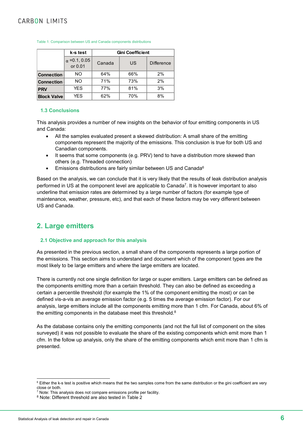|                    | k-s test                        | <b>Gini Coefficient</b> |     |                   |  |  |
|--------------------|---------------------------------|-------------------------|-----|-------------------|--|--|
|                    | $\alpha$ = 0.1, 0.05<br>or 0.01 | Canada                  | US  | <b>Difference</b> |  |  |
| <b>Connection</b>  | NO.                             | 64%                     | 66% | 2%                |  |  |
| <b>Connection</b>  | NO.                             | 71%                     | 73% | 2%                |  |  |
| <b>PRV</b>         | <b>YES</b>                      | 77%                     | 81% | 3%                |  |  |
| <b>Block Valve</b> | <b>YES</b>                      | 62%                     | 70% | 8%                |  |  |

#### Table 1: Comparison between US and Canada components distributions

#### **1.3 Conclusions**

This analysis provides a number of new insights on the behavior of four emitting components in US and Canada:

- All the samples evaluated present a skewed distribution: A small share of the emitting components represent the majority of the emissions. This conclusion is true for both US and Canadian components.
- It seems that some components (e.g. PRV) tend to have a distribution more skewed than others (e.g. Threaded connection)
- Emissions distributions are fairly similar between US and Canada<sup>6</sup>

Based on the analysis, we can conclude that it is very likely that the results of leak distribution analysis performed in US at the component level are applicable to Canada7. It is however important to also underline that emission rates are determined by a large number of factors (for example type of maintenance, weather, pressure, etc), and that each of these factors may be very different between US and Canada.

# **2. Large emitters**

#### **2.1 Objective and approach for this analysis**

As presented in the previous section, a small share of the components represents a large portion of the emissions. This section aims to understand and document which of the component types are the most likely to be large emitters and where the large emitters are located.

There is currently not one single definition for large or super emitters. Large emitters can be defined as the components emitting more than a certain threshold. They can also be defined as exceeding a certain a percentile threshold (for example the 1% of the component emitting the most) or can be defined vis-a-vis an average emission factor (e.g. 5 times the average emission factor). For our analysis, large emitters include all the components emitting more than 1 cfm. For Canada, about 6% of the emitting components in the database meet this threshold.<sup>8</sup>

As the database contains only the emitting components (and not the full list of component on the sites surveyed) it was not possible to evaluate the share of the existing components which emit more than 1 cfm. In the follow up analysis, only the share of the emitting components which emit more than 1 cfm is presented.

<sup>&</sup>lt;sup>6</sup> Either the k-s test is positive which means that the two samples come from the same distribution or the gini coefficient are very close or both.

 $\frac{7}{7}$  Note: This analysis does not compare emissions profile per facility.

<sup>8</sup> Note: Different threshold are also tested in Table 2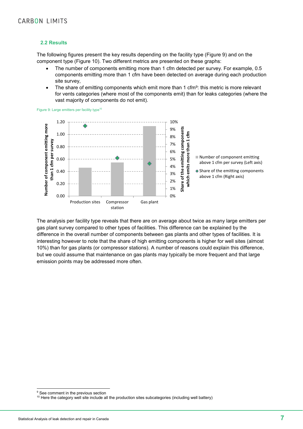#### **2.2 Results**

The following figures present the key results depending on the facility type (Figure 9) and on the component type (Figure 10). Two different metrics are presented on these graphs:

- The number of components emitting more than 1 cfm detected per survey. For example, 0.5 components emitting more than 1 cfm have been detected on average during each production site survey,
- The share of emitting components which emit more than 1 cfm<sup>9</sup>: this metric is more relevant for vents categories (where most of the components emit) than for leaks categories (where the vast majority of components do not emit).

Figure 9: Large emitters per facility type<sup>10</sup>



The analysis per facility type reveals that there are on average about twice as many large emitters per gas plant survey compared to other types of facilities. This difference can be explained by the difference in the overall number of components between gas plants and other types of facilities. It is interesting however to note that the share of high emitting components is higher for well sites (almost 10%) than for gas plants (or compressor stations). A number of reasons could explain this difference, but we could assume that maintenance on gas plants may typically be more frequent and that large emission points may be addressed more often.

<sup>&</sup>lt;sup>9</sup> See comment in the previous section

<sup>&</sup>lt;sup>10</sup> Here the category well site include all the production sites subcategories (including well battery)